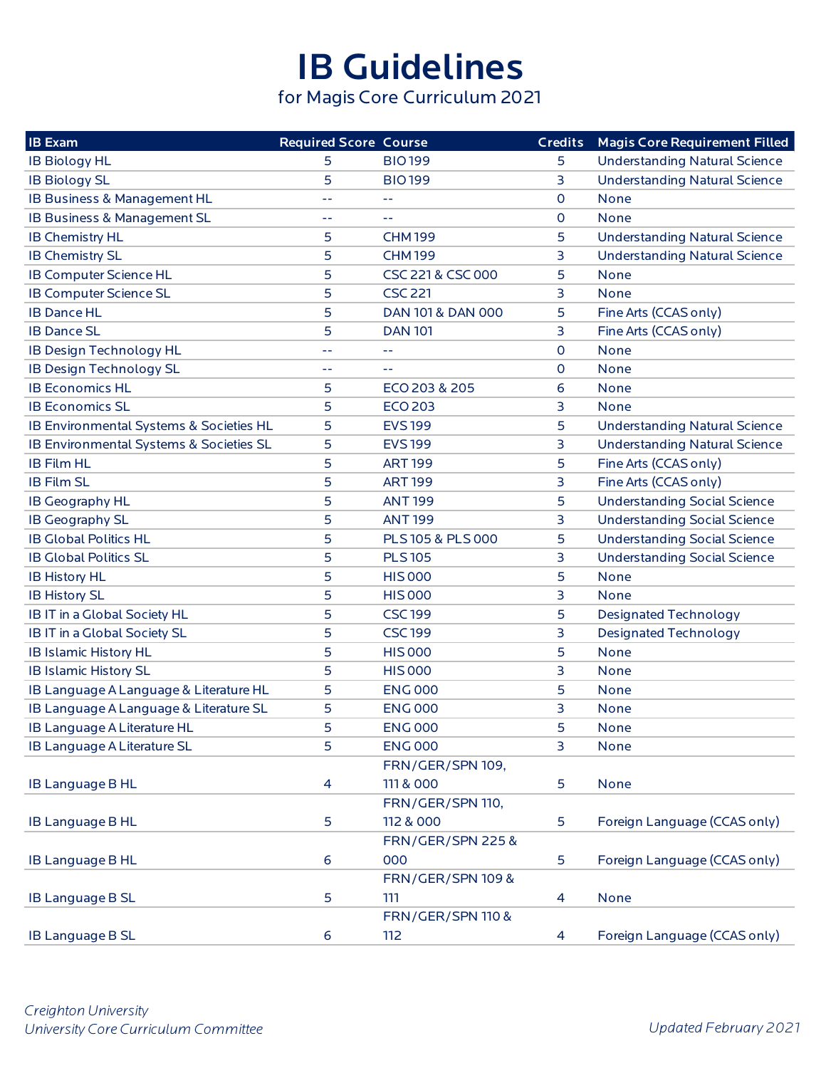## IB Guidelines

for Magis Core Curriculum 2021

| <b>IB Exam</b>                          | <b>Required Score Course</b> |                              |                | <b>Credits</b> Magis Core Requirement Filled |
|-----------------------------------------|------------------------------|------------------------------|----------------|----------------------------------------------|
| <b>IB Biology HL</b>                    | 5                            | <b>BIO199</b>                | 5.             | <b>Understanding Natural Science</b>         |
| <b>IB Biology SL</b>                    | 5                            | <b>BIO199</b>                | 3              | <b>Understanding Natural Science</b>         |
| IB Business & Management HL             | 44                           | $-1$                         | 0              | None                                         |
| IB Business & Management SL             | 44                           | 44                           | 0              | None                                         |
| <b>IB Chemistry HL</b>                  | 5                            | <b>CHM199</b>                | 5              | <b>Understanding Natural Science</b>         |
| <b>IB Chemistry SL</b>                  | 5                            | <b>CHM199</b>                | 3              | <b>Understanding Natural Science</b>         |
| <b>IB Computer Science HL</b>           | 5                            | CSC 221 & CSC 000            | 5              | None                                         |
| IB Computer Science SL                  | 5                            | <b>CSC 221</b>               | 3              | <b>None</b>                                  |
| <b>IB Dance HL</b>                      | 5                            | DAN 101 & DAN 000            | 5              | Fine Arts (CCAS only)                        |
| <b>IB Dance SL</b>                      | 5                            | <b>DAN 101</b>               | 3              | Fine Arts (CCAS only)                        |
| IB Design Technology HL                 | 44                           | 44                           | 0              | <b>None</b>                                  |
| <b>IB Design Technology SL</b>          | $-1$                         | $\sim$ $\sim$                | $\mathsf{O}$   | None                                         |
| <b>IB Economics HL</b>                  | 5                            | ECO 203 & 205                | 6              | None                                         |
| <b>IB Economics SL</b>                  | 5                            | <b>ECO 203</b>               | 3              | None                                         |
| IB Environmental Systems & Societies HL | 5                            | <b>EVS199</b>                | 5              | <b>Understanding Natural Science</b>         |
| IB Environmental Systems & Societies SL | 5                            | <b>EVS199</b>                | 3              | <b>Understanding Natural Science</b>         |
| <b>IB Film HL</b>                       | 5                            | <b>ART 199</b>               | 5              | Fine Arts (CCAS only)                        |
| <b>IB Film SL</b>                       | 5                            | <b>ART 199</b>               | 3              | Fine Arts (CCAS only)                        |
| IB Geography HL                         | 5                            | <b>ANT 199</b>               | 5              | <b>Understanding Social Science</b>          |
| <b>IB Geography SL</b>                  | 5                            | <b>ANT 199</b>               | 3              | <b>Understanding Social Science</b>          |
| <b>IB Global Politics HL</b>            | 5                            | PLS 105 & PLS 000            | 5              | <b>Understanding Social Science</b>          |
| <b>IB Global Politics SL</b>            | 5                            | <b>PLS105</b>                | 3              | <b>Understanding Social Science</b>          |
| <b>IB History HL</b>                    | 5                            | <b>HIS 000</b>               | 5              | None                                         |
| <b>IB History SL</b>                    | 5                            | <b>HIS 000</b>               | 3              | None                                         |
| IB IT in a Global Society HL            | 5                            | <b>CSC199</b>                | 5              | <b>Designated Technology</b>                 |
| IB IT in a Global Society SL            | 5                            | <b>CSC199</b>                | 3              | <b>Designated Technology</b>                 |
| <b>IB Islamic History HL</b>            | 5                            | <b>HIS 000</b>               | 5              | <b>None</b>                                  |
| <b>IB Islamic History SL</b>            | 5                            | <b>HIS 000</b>               | 3              | None                                         |
| IB Language A Language & Literature HL  | 5                            | <b>ENG 000</b>               | 5              | None                                         |
| IB Language A Language & Literature SL  | 5                            | <b>ENG 000</b>               | 3              | None                                         |
| IB Language A Literature HL             | 5                            | <b>ENG 000</b>               | 5              | <b>None</b>                                  |
| IB Language A Literature SL             | 5                            | <b>ENG 000</b>               | 3              | None                                         |
|                                         |                              | FRN/GER/SPN 109,             |                |                                              |
| <b>IB Language B HL</b>                 | $\overline{\mathcal{A}}$     | 111 & 000                    | 5              | None                                         |
|                                         |                              | FRN/GER/SPN 110,             |                |                                              |
| <b>IB Language B HL</b>                 | 5                            | 112 & 000                    | 5              | Foreign Language (CCAS only)                 |
|                                         |                              | <b>FRN/GER/SPN 225 &amp;</b> |                |                                              |
| <b>IB Language B HL</b>                 | 6                            | 000                          | 5              | Foreign Language (CCAS only)                 |
|                                         |                              | <b>FRN/GER/SPN 109 &amp;</b> |                |                                              |
| <b>IB Language B SL</b>                 | 5                            | 111                          | 4              | None                                         |
|                                         |                              | <b>FRN/GER/SPN 110 &amp;</b> |                |                                              |
| <b>IB Language B SL</b>                 | 6                            | 112                          | $\overline{4}$ | Foreign Language (CCAS only)                 |